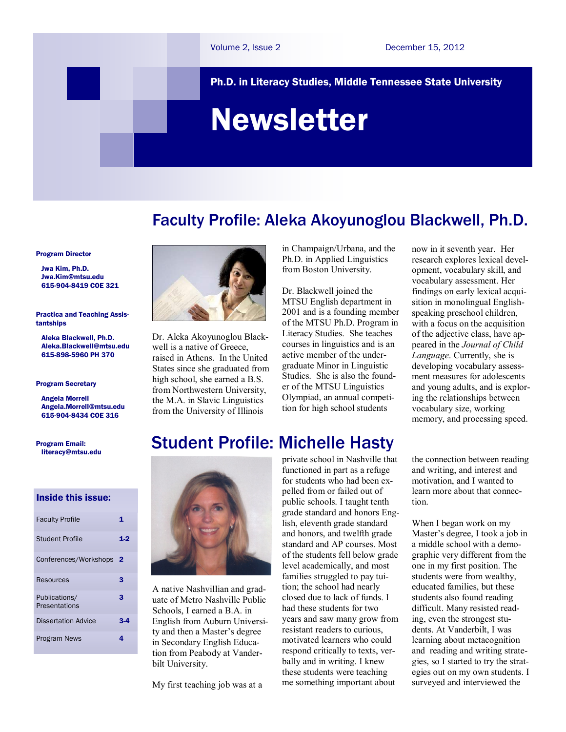Ph.D. in Literacy Studies, Middle Tennessee State University

# Newsletter

# Faculty Profile: Aleka Akoyunoglou Blackwell, Ph.D.

Program Director

 Jwa Kim, Ph.D. [Jwa.Kim@mtsu.edu](mailto:pykim@mtsu.edu)  615-904-8419 COE 321

Practica and Teaching Assistantships

 Aleka Blackwell, Ph.D. Aleka.Blackwell@mtsu.edu 615-898-5960 PH 370

#### Program Secretary

 Angela Morrell Angela.Morrel[l@mtsu.edu](mailto:pykim@mtsu.edu) 615-904-8434 COE 316

Program Email: literacy@mtsu.edu

# Inside this issue:

| <b>Faculty Profile</b>         | 1   |
|--------------------------------|-----|
| Student Profile                | 1.9 |
| Conferences/Workshops          | - 2 |
| Resources                      | з   |
| Publications/<br>Presentations | 3   |
| <b>Dissertation Advice</b>     |     |
| Program News                   | 4   |



Dr. Aleka Akoyunoglou Blackwell is a native of Greece. raised in Athens. In the United States since she graduated from high school, she earned a B.S. from Northwestern University, the M.A. in Slavic Linguistics from the University of Illinois

in Champaign/Urbana, and the Ph.D. in Applied Linguistics from Boston University.

Dr. Blackwell joined the MTSU English department in 2001 and is a founding member of the MTSU Ph.D. Program in Literacy Studies. She teaches courses in linguistics and is an active member of the undergraduate Minor in Linguistic Studies. She is also the founder of the MTSU Linguistics Olympiad, an annual competition for high school students

now in it seventh year. Her research explores lexical development, vocabulary skill, and vocabulary assessment. Her findings on early lexical acquisition in monolingual Englishspeaking preschool children, with a focus on the acquisition of the adjective class, have appeared in the *Journal of Child Language*. Currently, she is developing vocabulary assessment measures for adolescents and young adults, and is exploring the relationships between vocabulary size, working memory, and processing speed.

# Student Profile: Michelle Hasty



A native Nashvillian and graduate of Metro Nashville Public Schools, I earned a B.A. in English from Auburn University and then a Master's degree in Secondary English Education from Peabody at Vanderbilt University.

My first teaching job was at a

private school in Nashville that functioned in part as a refuge for students who had been expelled from or failed out of public schools. I taught tenth grade standard and honors English, eleventh grade standard and honors, and twelfth grade standard and AP courses. Most of the students fell below grade level academically, and most families struggled to pay tuition; the school had nearly closed due to lack of funds. I had these students for two years and saw many grow from resistant readers to curious, motivated learners who could respond critically to texts, verbally and in writing. I knew these students were teaching me something important about

the connection between reading and writing, and interest and motivation, and I wanted to learn more about that connection.

When I began work on my Master's degree, I took a job in a middle school with a demographic very different from the one in my first position. The students were from wealthy, educated families, but these students also found reading difficult. Many resisted reading, even the strongest students. At Vanderbilt, I was learning about metacognition and reading and writing strategies, so I started to try the strategies out on my own students. I surveyed and interviewed the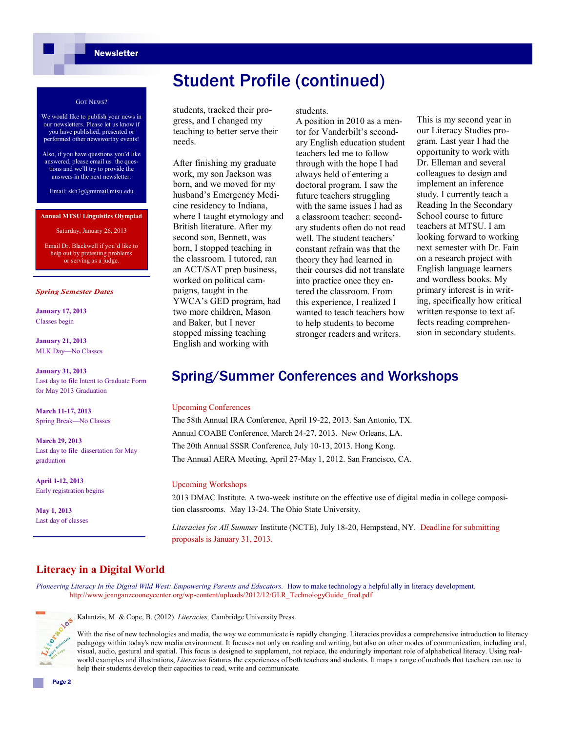# Student Profile (continued)

#### GOT NEWS?

- We would like to publish your news in our newsletters. Please let us know if you have published, presented or performed other newsworthy events!
- Also, if you have questions you'd like answered, please email us the questions and we'll try to provide the answers in the next newsletter.

Email: skh3g@mtmail.mtsu.edu

#### **Annual MTSU Linguistics Olympiad**

Saturday, January 26, 2013

Email Dr. Blackwell if you'd like to help out by pretesting problems or serving as a judge.

#### *Spring Semester Dates*

**January 17, 2013** Classes begin

**January 21, 2013** MLK Day—No Classes

**January 31, 2013** Last day to file Intent to Graduate Form for May 2013 Graduation

**March 11-17, 2013** Spring Break—No Classes

**March 29, 2013** Last day to file dissertation for May graduation

**April 1-12, 2013** Early registration begins

**May 1, 2013** Last day of classes students, tracked their progress, and I changed my teaching to better serve their needs.

After finishing my graduate work, my son Jackson was born, and we moved for my husband's Emergency Medicine residency to Indiana, where I taught etymology and British literature. After my second son, Bennett, was born, I stopped teaching in the classroom. I tutored, ran an ACT/SAT prep business, worked on political campaigns, taught in the YWCA's GED program, had two more children, Mason and Baker, but I never stopped missing teaching English and working with

students.

A position in 2010 as a mentor for Vanderbilt's secondary English education student teachers led me to follow through with the hope I had always held of entering a doctoral program. I saw the future teachers struggling with the same issues I had as a classroom teacher: secondary students often do not read well. The student teachers' constant refrain was that the theory they had learned in their courses did not translate into practice once they entered the classroom. From this experience, I realized I wanted to teach teachers how to help students to become stronger readers and writers.

This is my second year in our Literacy Studies program. Last year I had the opportunity to work with Dr. Elleman and several colleagues to design and implement an inference study. I currently teach a Reading In the Secondary School course to future teachers at MTSU. I am looking forward to working next semester with Dr. Fain on a research project with English language learners and wordless books. My primary interest is in writing, specifically how critical written response to text affects reading comprehension in secondary students.

# Spring/Summer Conferences and Workshops

### Upcoming Conferences

The 58th Annual IRA Conference, April 19-22, 2013. San Antonio, TX. Annual COABE Conference, March 24-27, 2013. New Orleans, LA. The 20th Annual SSSR Conference, July 10-13, 2013. Hong Kong. The Annual AERA Meeting, April 27-May 1, 2012. San Francisco, CA.

### Upcoming Workshops

2013 DMAC Institute. A two-week institute on the effective use of digital media in college composition classrooms*.* May 13-24. The Ohio State University.

*Literacies for All Summer* Institute (NCTE), July 18-20, Hempstead, NY. Deadline for submitting proposals is January 31, 2013.

# **Literacy in a Digital World**

Pioneering Literacy In the Digital Wild West: Empowering Parents and Educators. How to make technology a helpful ally in literacy development. http://www.joanganzcooneycenter.org/wp-content/uploads/2012/12/GLR\_TechnologyGuide\_final.pdf



Kalantzis, M. & Cope, B. (2012). *Literacies,* Cambridge University Press.

With the rise of new technologies and media, the way we communicate is rapidly changing. Literacies provides a comprehensive introduction to literacy pedagogy within today's new media environment. It focuses not only on reading and writing, but also on other modes of communication, including oral, visual, audio, gestural and spatial. This focus is designed to supplement, not replace, the enduringly important role of alphabetical literacy. Using realworld examples and illustrations, *Literacies* features the experiences of both teachers and students. It maps a range of methods that teachers can use to help their students develop their capacities to read, write and communicate.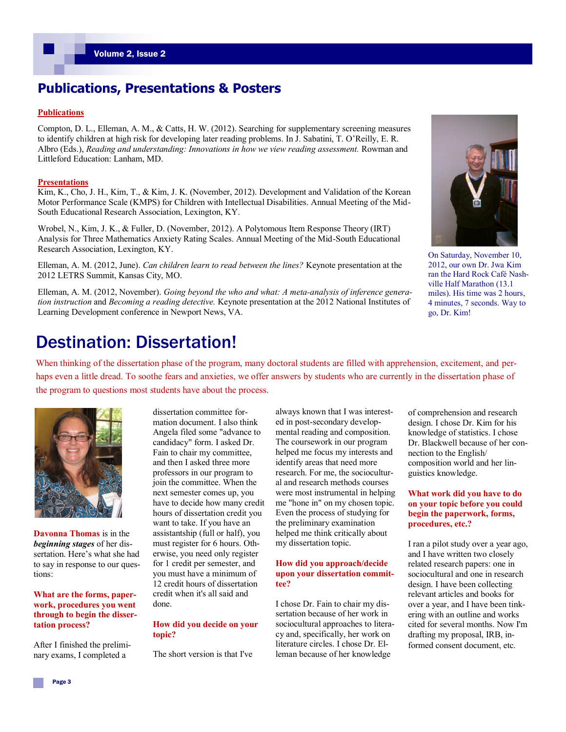# **Publications, Presentations & Posters**

# **Publications**

Compton, D. L., Elleman, A. M., & Catts, H. W. (2012). Searching for supplementary screening measures to identify children at high risk for developing later reading problems. In J. Sabatini, T. O'Reilly, E. R. Albro (Eds.), *Reading and understanding: Innovations in how we view reading assessment.* Rowman and Littleford Education: Lanham, MD.

#### **Presentations**

Kim, K., Cho, J. H., Kim, T., & Kim, J. K. (November, 2012). Development and Validation of the Korean Motor Performance Scale (KMPS) for Children with Intellectual Disabilities. Annual Meeting of the Mid-South Educational Research Association, Lexington, KY.

Wrobel, N., Kim, J. K., & Fuller, D. (November, 2012). A Polytomous Item Response Theory (IRT) Analysis for Three Mathematics Anxiety Rating Scales. Annual Meeting of the Mid-South Educational Research Association, Lexington, KY.

Elleman, A. M. (2012, June). *Can children learn to read between the lines?* Keynote presentation at the 2012 LETRS Summit, Kansas City, MO.

Elleman, A. M. (2012, November). *Going beyond the who and what: A meta-analysis of inference generation instruction* and *Becoming a reading detective.* Keynote presentation at the 2012 National Institutes of Learning Development conference in Newport News, VA.



On Saturday, November 10, 2012, our own Dr. Jwa Kim ran the Hard Rock Café Nashville Half Marathon (13.1 miles). His time was 2 hours, 4 minutes, 7 seconds. Way to go, Dr. Kim!

# Destination: Dissertation!

When thinking of the dissertation phase of the program, many doctoral students are filled with apprehension, excitement, and perhaps even a little dread. To soothe fears and anxieties, we offer answers by students who are currently in the dissertation phase of the program to questions most students have about the process.



**Davonna Thomas** is in the *beginning stages* of her dissertation. Here's what she had to say in response to our questions:

**What are the forms, paperwork, procedures you went through to begin the dissertation process?**

After I finished the preliminary exams, I completed a

dissertation committee formation document. I also think Angela filed some "advance to candidacy" form. I asked Dr. Fain to chair my committee, and then I asked three more professors in our program to join the committee. When the next semester comes up, you have to decide how many credit hours of dissertation credit you want to take. If you have an assistantship (full or half), you must register for 6 hours. Otherwise, you need only register for 1 credit per semester, and you must have a minimum of 12 credit hours of dissertation credit when it's all said and done.

## **How did you decide on your topic?**

The short version is that I've

always known that I was interested in post-secondary developmental reading and composition. The coursework in our program helped me focus my interests and identify areas that need more research. For me, the sociocultural and research methods courses were most instrumental in helping me "hone in" on my chosen topic. Even the process of studying for the preliminary examination helped me think critically about my dissertation topic.

### **How did you approach/decide upon your dissertation committee?**

I chose Dr. Fain to chair my dissertation because of her work in sociocultural approaches to literacy and, specifically, her work on literature circles. I chose Dr. Elleman because of her knowledge

of comprehension and research design. I chose Dr. Kim for his knowledge of statistics. I chose Dr. Blackwell because of her connection to the English/ composition world and her linguistics knowledge.

# **What work did you have to do on your topic before you could begin the paperwork, forms, procedures, etc.?**

I ran a pilot study over a year ago, and I have written two closely related research papers: one in sociocultural and one in research design. I have been collecting relevant articles and books for over a year, and I have been tinkering with an outline and works cited for several months. Now I'm drafting my proposal, IRB, informed consent document, etc.